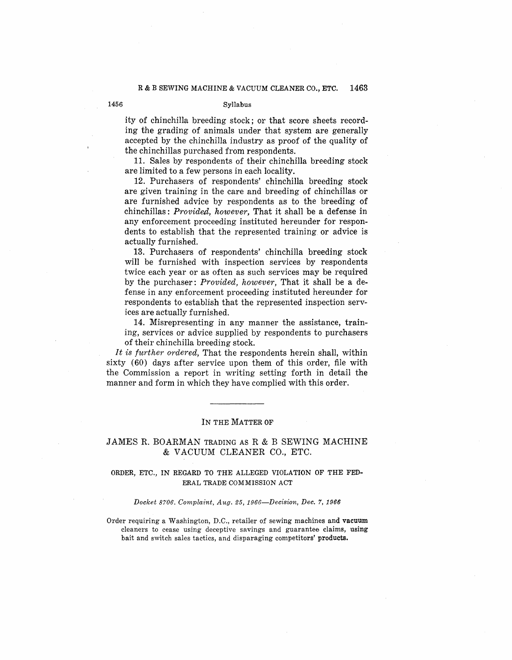## **R** & **B SEWING MACHINE** & **VACUUM CLEANER CO., ETC. 1463**

#### 1456 **Syllabus**

ity of chinchilla breeding stock; or that score sheets recording the grading of animals under that system are generally accepted by the chinchilla industry as proof of the quality of the chinchillas purchased from respondents.

11. Sales by respondents of their chinchilla breeding stock are limited to a few persons in each locality.

12. Purchasers of respondents' chinchilla breeding stock are given training in the care and breeding of chinchillas or are furnished advice by respondents as to the breeding of chinchillas: *Provided, however,* That it shall be a defense in any enforcement proceeding instituted hereunder for respondents to establish that the represented training or advice is actually furnished.

13. Purchasers of respondents' chinchilla breeding stock will be furnished with inspection services by respondents twice each year or as often as such services may be required by the purchaser: *Provided, however,* That it shall be a defense in any enforcement proceeding instituted hereunder for respondents to establish that the represented inspection services are actually furnished.

14. Misrepresenting in any manner the assistance, training, services or advice supplied by respondents to purchasers of their chinchilla breeding stock.

*It is further ordered,* That the respondents herein shall, within sixty (60) days after service upon them of this order, file with the Commission a report in writing setting forth in detail the manner and form in which they have complied with this order.

## IN THE **MATTER OF**

# .JAMES R. BOARMAN TRADING AS R & B SEWING MACHINE & VACUUM CLEANER CO., ETC.

# ORDER, ETC., IN REGARD TO THE ALLEGED VIOLATION OF THE FED-ERAL TRADE COMMISSION ACT

#### *Docket 8706. Complaint, Aug. 25, 1966-Decision, Dec. 7, 1966*

Order requiring a Washington, D.C., retailer of sewing machines and **vacuum**  cleaners to cease using deceptive savings and guarantee claims, **using**  bait and switch sales tactics, and disparaging competitors' **products.**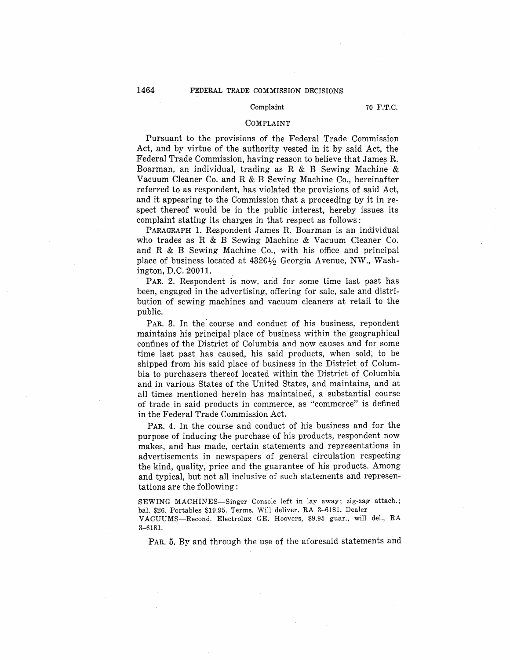#### Complaint 70 F.T.C.

## **COMPLAINT**

Pursuant to the provisions of the Federal Trade Commission Act, and by virtue of the authority vested in it by said Act, the Federal Trade Commission, hav'ing reason to believe that James R. Boarman, an individual, trading as R & B Sewing Machine & Vacuum Cleaner Co. and R & B Sewing Machine Co., hereinafter referred to as respondent, has violated the provisions of said Act. and it appearing to the Commission that a proceeding by it in respect thereof would be in the public interest, hereby issues its complaint stating its charges in that respect as follows:

PARAGRAPH 1. Respondent James R. Boarman is an individual who trades as R & B Sewing Machine & Vacuum Cleaner Co. and R & B Sewing Machine Co., with his office and principal place of business located at 4326½ Georgia Avenue, NW., Washington, D.C. 20011.

PAR. 2. Respondent is now, and for some time last past has been, engaged in the advertising, offering for sale, sale and distribution of sewing machines and vacuum cleaners at retail to the public.

PAR. 3. In the course and conduct of his business, repondent maintains his principal place of business within the geographical confines of the District of Columbia and now causes and for some time last past has caused, his said products, when sold, to be shipped from his said place of business in the District of Columbia to purchasers thereof located within the District of Columbia and in various States of the United States, and maintains, and at all times mentioned herein has maintained, a substantial course of trade in said products in commerce, as "commerce" is defined in the Federal Trade Commission Act.

**PAR.** 4. In the course and conduct of his business and for the purpose of inducing the purchase of his products, respondent now makes, and has made, certain statements and representations in advertisements in newspapers of general circulation respecting the kind, quality, price and the guarantee of his products. Among and typical, but not all inclusive of such statements and representations are the following:

SEWING MACHINES-Singer Console left in lay away; zig-zag attach.; bal. \$26. Portables \$19.95. Terms. Will deliver. RA 3-6181. Dealer VACUUMS-Recond. Electrolux GE. Hoovers, \$9.95 guar., will del., RA 3-6181.

PAR. 5. By and through the use of the aforesaid statements and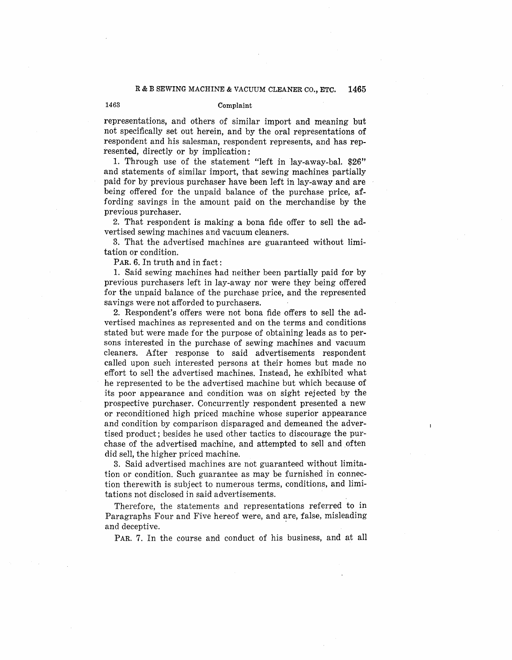## 1463 Complaint

representations, and others of similar import and meaning but not specifically set out herein, and by the oral representations of respondent and his salesman, respondent represents, and has represented, directly or by implication:

1. Through use of the statement "left in lay-away-bal. **\$26"**  and statements of similar import, that sewing machines partially paid for by previous purchaser have been left in lay-away and are being offered for the unpaid balance of the purchase price, affording savings in the amount paid on the merchandise by the previous purchaser.

2. That respondent is making a bona fide offer to sell the advertised sewing machines and vacuum cleaners.

3. That the advertised machines are guaranteed without limitation or condition.

PAR. 6. In truth and in fact:

1. Said sewing machines had neither been partially paid for by previous purchasers left in lay-away nor were they being offered for the unpaid balance of the purchase price, and the represented savings were not afforded to purchasers.

2. Respondent's offers were not bona fide offers to sell the advertised machines as represented and on the terms and conditions stated but were made for the purpose of obtaining leads as to persons interested in the purchase of sewing machines and vacuum cleaners. After response to said advertisements respondent called upon such interested persons at their homes but made no effort to sell the advertised machines. Instead, he exhibited what he represented to be the advertised machine but which because of its poor appearance and condition was on sight rejected by the prospective purchaser. Concurrently respondent presented a new or reconditioned high priced machine whose superior appearance and condition by comparison disparaged and demeaned the advertised product; besides he used other tactics to discourage the purchase of the advertised machine, and attempted to sell and \_often did sell, the higher priced machine.

3. Said advertised machines are not guaranteed without limitation or condition. Such guarantee as may be furnished in connection therewith is subject to numerous terms, conditions, and limitations not disclosed in said advertisements.

Therefore, the statements and representations referred to in Paragraphs Four and Five hereof were, and are, false, misleading and deceptive.

PAR. 7. In the course and conduct of his business, and at all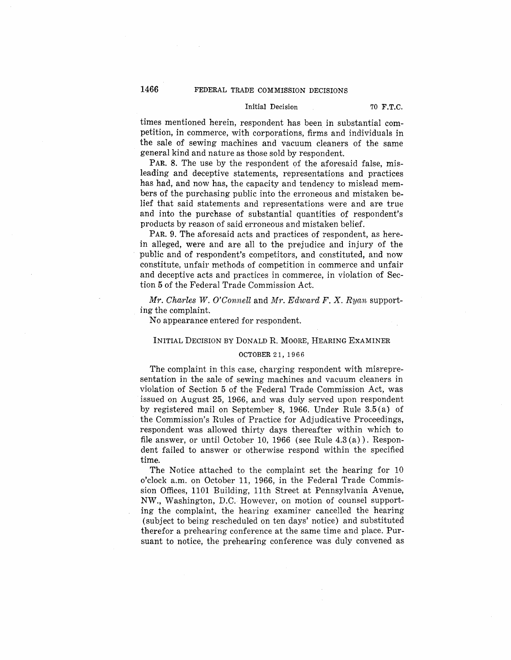# 1466 FEDERAL TRADE COMMISSION DECISIONS

### Initial Decision 70 **F.T.C.**

times mentioned herein, respondent has been in substantial competition, in commerce, with corpor\_ations, firms and individuals in the sale of sewing machines and vacuum cleaners of the same general kind and nature as those sold by respondent.

PAR. 8. The use by the respondent of the aforesaid false, misleading and deceptive statements, representations and practices has had, and now has, the capacity and tendency to mislead members of the purchasing public into the erroneous and mistaken belief that said statements and representations were and are true and into the purchase of substantial quantities of respondent's products by reason of said erroneous and mistaken belief.

PAR. 9. The aforesaid acts and practices of respondent, as herein alleged, were and are all to the prejudice and injury of the public and of respondent's competitors, and constituted, and now constitute, unfair methods of competition in commerce and unfair and deceptive acts and practices in commerce, in violation of Section 5 of the Federal Trade Commission Act.

*Mr. Charles W. O'Connell* and *Mr. Edward F. X. Ryan* supporting the complaint.

No appearance entered for respondent.

#### **INITIAL DECISION BY DONALD R. MOORE, HEARING ExAMINER**

## **OCTOBER** 21, 1966

The complaint in this case, charging respondent with misrepresentation in the sale of sewing machines and vacuum cleaners in violation of Section 5 of the Federal Trade Commission Act, was issued on August 25, 1966, and was duly served upon respondent by registered mail on September 8, 1966. Under Rule 3.5 (a) of the Commission's Rules of Practice for Adjudicative Proceedings, respondent was allowed thirty days thereafter within which to file answer, or until October 10, 1966 (see Rule 4.3 (a)). Respondent failed to answer or otherwise respond within the specified **time.** 

The Notice attached to the complaint set the hearing for 10 o'clock a.m. on October 11, 1966, in the Federal Trade Commission Offices, 1101 Building, 11th Street at Pennsylvania A venue, **NW.,** Washington, D.C. However, on motion of counsel supporting the complaint, the hearing examiner cancelled the hearing (subject to being rescheduled on ten days' notice) and substituted therefor a prehearing conference at the same time and place. Pursuant to notice, the prehearing conference was duly convened as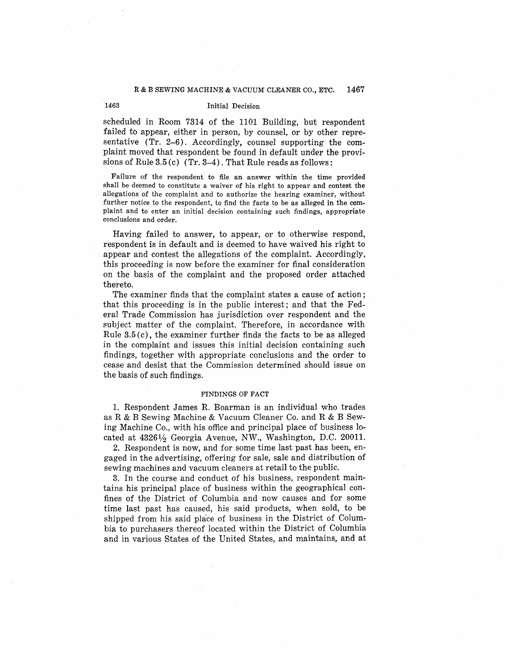# 1463 Initial Decision

scheduled in Room 7314 of the 1101 Building, but respondent failed to appear, either in person, by counsel, or by other representative (Tr. 2-6). Accordingly, counsel supporting the complaint moved that respondent be found in default under the provisions of Rule 3.5 (c) (Tr. 3-4). That Rule reads as follows:

Failure of the respondent to file an answer within the time provided shall be deemed to constitute a waiver of his right to appear and contest the allegations of the complaint and to authorize the hearing examiner, without further notice to the respondent, to find the facts to be as alleged **in** the **com**plaint and to enter an initial decision containing such findings, appropriate conclusions and order.

Having failed to answer, to appear, or to otherwise respond, respondent is in default and is deemed to have waived his right to appear and contest the allegations of the complaint. Accordingly, this proceeding is now before the examiner for final consideration on the basis of the complaint and the proposed order attached thereto.

The examiner finds that the complaint states a cause of action ; that this proceeding is in the public interest; and that the Federal Trade Commission has jurisdiction over respondent and the subject matter of the complaint. Therefore, in accordance with Rule  $3.5(c)$ , the examiner further finds the facts to be as alleged in the complaint and issues this initial decision containing such findings, together with appropriate conclusions and the order to cease and desist that the Commission determined should issue on the basis of such findings.

#### FINDINGS OF FACT

1. Respondent James R. Boarman is an individual who trades as R & B Sewing Machine & Vacuum Cleaner Co. and R & B Sewing Machine Co., with his office and principal place of business located at 4326½ Georgia Avenue, NW., Washington, D.C. 20011.

2. Respondent is now, and for some time last past has been, engaged in the advertising, offering for sale, sale and distribution of sewing machines and vacuum cleaners at retail to the public.

3. In the course and conduct of his business, respondent maintains his principal place of business within the geographical confines of the District of Columbia and now causes and for some time last past has caused, his said products, when sold, to be shipped from his said place of business in the District of Columbia to purchasers thereof located within the District of Columbia and in various States of the United States, and maintains, and at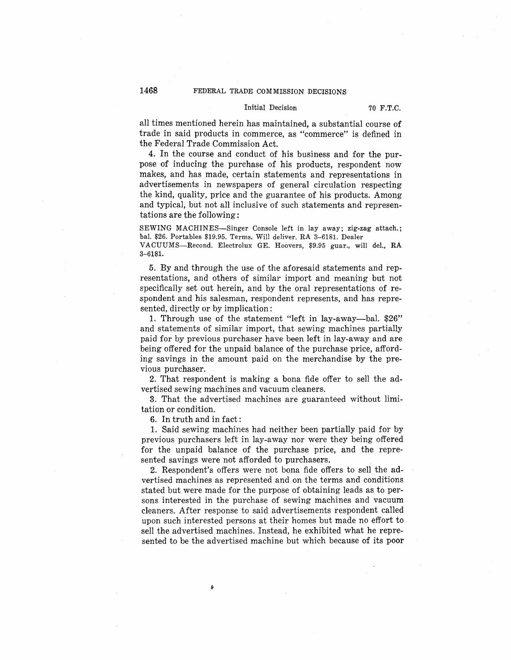# **1468** FEDERAL TRADE COMMISSION DECISIONS

#### Initial Decision 70 **F.T.C.**

all times mentioned herein has maintained, a substantial course of trade in said products in commerce, as "commerce" is defined in the Federal Trade Commission Act.

4. In the course and conduct of his business and for the purpose of inducing the purchase of his products, respondent now makes, and has made, certain statements and representations in advertisements in newspapers of general circulation respecting the kind, quality, price and the guarantee of his products. Among and typical, but not all inclusive of such statements and representations are the following:

SEWING MACHINES-Singer Console left in lay away; zig-zag attach.; bal. \$26. Portables \$19.95. Terms. Will deliver. RA 3-6181. Dealer

VACUUMS-Recond. Electrolux GE. Hoovers, \$9.95 guar., will del., RA **3-6181.** 

5. By and through the use of the aforesaid statements and representations, and others of similar import and meaning but not specifically set out herein, and by the oral representations of respondent and his salesman, respondent represents, and has represented, directly or by implication:

1. Through use of the statement "left in lay-away-bal. \$26" and statements of similar import, that sewing machines partially paid for by previous purchaser have been left in lay-away and are being offered for the unpaid balance of the purchase price, affording savings in the amount paid on the merchandise by the previous purchaser.

2. That respondent is making a bona fide offer to sell the advertised sewing machines and vacuum cleaners.

3. That the advertised machines are guaranteed without limitation or condition.

6. In truth and in fact:

1. Said sewing machines had neither been partially paid for by previous purchasers left in lay-away nor were they being offered for the unpaid balance of the purchase price, and the represented savings were not afforded to purchasers.

2. Respondent's offers were not bona fide offers to sell the advertised machines as represented and on the terms and conditions stated but were made for the purpose of obtaining leads as to persons interested in the purchase of sewing machines and vacuum cleaners. After response to said advertisements respondent called upon such interested persons at their homes but made no effort to sell the advertised machines. Instead, he exhibited what he represented to be the advertised machine but which because of its poor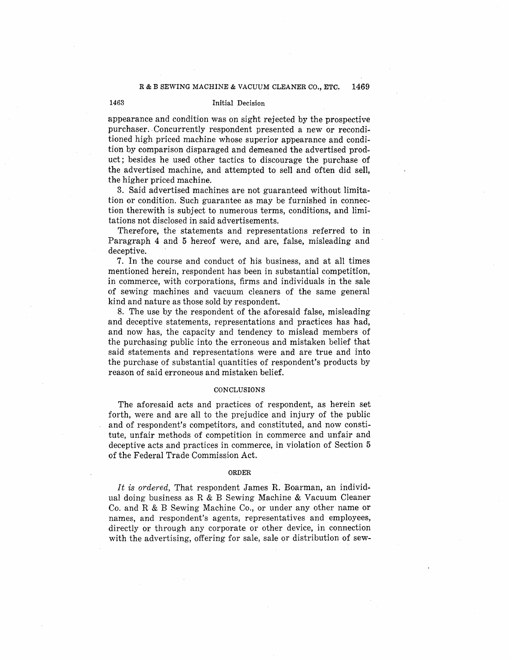## 1463 Initial Decision

appearance and condition was on sight rejected by the prospective purchaser. Concurrently respondent presented a new or reconditioned high priced machine whose superior appearance and condition by comparison disparaged and demeaned the advertised product; besides he used other tactics to discourage the purchase of the advertised machine, and attempted to sell and often did sell, the higher priced machine.

3. Said advertised machines are not guaranteed without limitation or condition. Such guarantee as may be furnished in connection therewith is subject to numerous terms, conditions, and limitations not disclosed in said advertisements.

Therefore, the statements and representations referred to in Paragraph 4 and 5 hereof were, and are, false, misleading and deceptive.

7. In the course and conduct of his business, and at all times mentioned herein, respondent has been in substantial competition, in commerce, with corporations, firms and individuals in the sale of sewing machines and vacuum cleaners of the same general kind and nature as those sold by respondent.

8. The use by the respondent of the aforesaid false, misleading and deceptive statements, representations and practices has had, and now has, the capacity and tendency to mislead members of the purchasing public into the erroneous and mistaken belief that said statements and representations were and are true and into the purchase of substantial quantities of respondent's products by reason of said erroneous and mistaken belief.

#### **CONCLUSIONS**

The aforesaid acts and practices of respondent, as herein set forth, were and are all to the prejudice and injury of the public and of respondent's competitors, and constituted, and now constitute, unfair methods of competition in commerce and unfair and deceptive acts and practices in commerce, in violation of Section 5 of the Federal Trade Commission Act.

#### **ORDER**

*It* is *ordered,* That respondent James R. Boarman, an individual doing business as R & B Sewing Machine & Vacuum Cleaner Co. and R & B Sewing Machine Co., or under any other name or names, and respondent's agents, representatives and employees, directly or through any corporate or other device, in connection with the advertising, offering for sale, sale or distribution of sew-